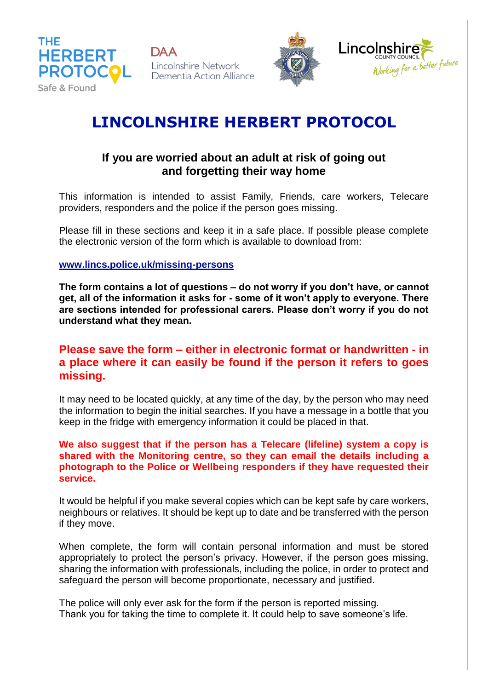

**DAA** Lincolnshire Network Dementia Action Alliance





# **LINCOLNSHIRE HERBERT PROTOCOL**

# **If you are worried about an adult at risk of going out and forgetting their way home**

This information is intended to assist Family, Friends, care workers, Telecare providers, responders and the police if the person goes missing.

Please fill in these sections and keep it in a safe place. If possible please complete the electronic version of the form which is available to download from:

#### **[www.lincs.police.uk/missing-persons](http://www.lincs.police.uk/missing-persons)**

**The form contains a lot of questions – do not worry if you don't have, or cannot get, all of the information it asks for - some of it won't apply to everyone. There are sections intended for professional carers. Please don't worry if you do not understand what they mean.** 

## **Please save the form – either in electronic format or handwritten - in a place where it can easily be found if the person it refers to goes missing.**

It may need to be located quickly, at any time of the day, by the person who may need the information to begin the initial searches. If you have a message in a bottle that you keep in the fridge with emergency information it could be placed in that.

### **We also suggest that if the person has a Telecare (lifeline) system a copy is shared with the Monitoring centre, so they can email the details including a photograph to the Police or Wellbeing responders if they have requested their service.**

It would be helpful if you make several copies which can be kept safe by care workers, neighbours or relatives. It should be kept up to date and be transferred with the person if they move.

When complete, the form will contain personal information and must be stored appropriately to protect the person's privacy. However, if the person goes missing, sharing the information with professionals, including the police, in order to protect and safeguard the person will become proportionate, necessary and justified.

The police will only ever ask for the form if the person is reported missing. Thank you for taking the time to complete it. It could help to save someone's life.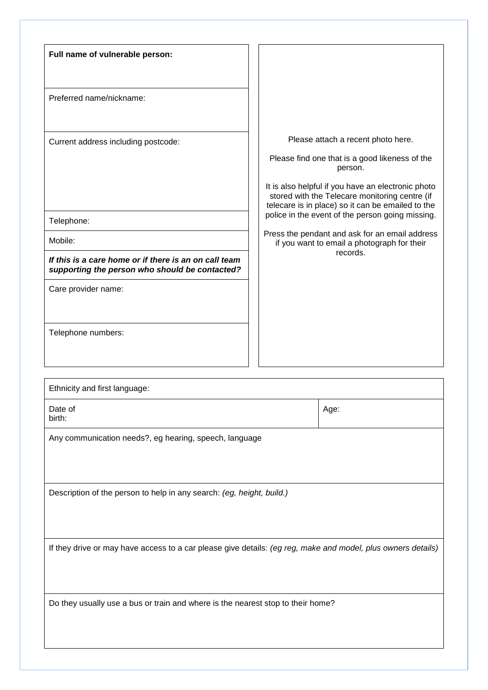| Full name of vulnerable person:<br>Preferred name/nickname:                                                        |                                                                                                                                                                                                                                                              |  |
|--------------------------------------------------------------------------------------------------------------------|--------------------------------------------------------------------------------------------------------------------------------------------------------------------------------------------------------------------------------------------------------------|--|
| Current address including postcode:                                                                                | Please attach a recent photo here.<br>Please find one that is a good likeness of the<br>person.<br>It is also helpful if you have an electronic photo<br>stored with the Telecare monitoring centre (if<br>telecare is in place) so it can be emailed to the |  |
| Telephone:                                                                                                         | police in the event of the person going missing.                                                                                                                                                                                                             |  |
| Mobile:<br>If this is a care home or if there is an on call team<br>supporting the person who should be contacted? | Press the pendant and ask for an email address<br>if you want to email a photograph for their<br>records.                                                                                                                                                    |  |
| Care provider name:                                                                                                |                                                                                                                                                                                                                                                              |  |
| Telephone numbers:                                                                                                 |                                                                                                                                                                                                                                                              |  |

| Ethnicity and first language:                                                                                |      |  |
|--------------------------------------------------------------------------------------------------------------|------|--|
| Date of<br>birth:                                                                                            | Age: |  |
| Any communication needs?, eg hearing, speech, language                                                       |      |  |
| Description of the person to help in any search: (eg, height, build.)                                        |      |  |
| If they drive or may have access to a car please give details: (eg reg, make and model, plus owners details) |      |  |
| Do they usually use a bus or train and where is the nearest stop to their home?                              |      |  |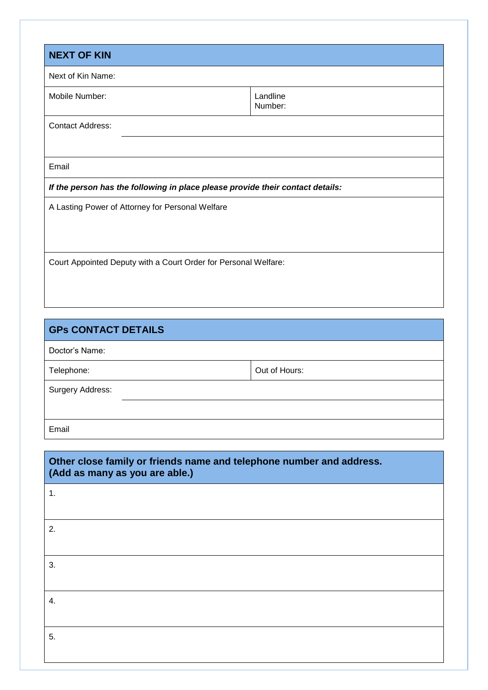| <b>NEXT OF KIN</b>                                                             |  |  |
|--------------------------------------------------------------------------------|--|--|
| Next of Kin Name:                                                              |  |  |
| Mobile Number:<br>Landline<br>Number:                                          |  |  |
| <b>Contact Address:</b>                                                        |  |  |
|                                                                                |  |  |
| Email                                                                          |  |  |
| If the person has the following in place please provide their contact details: |  |  |
| A Lasting Power of Attorney for Personal Welfare                               |  |  |
|                                                                                |  |  |
|                                                                                |  |  |
| Court Appointed Deputy with a Court Order for Personal Welfare:                |  |  |
|                                                                                |  |  |

# **GPs CONTACT DETAILS** Doctor's Name: Telephone: Out of Hours: Surgery Address: Email

| Other close family or friends name and telephone number and address.<br>(Add as many as you are able.) |  |  |
|--------------------------------------------------------------------------------------------------------|--|--|
| 1.                                                                                                     |  |  |
| 2.                                                                                                     |  |  |
| 3.                                                                                                     |  |  |
| 4.                                                                                                     |  |  |
| 5.                                                                                                     |  |  |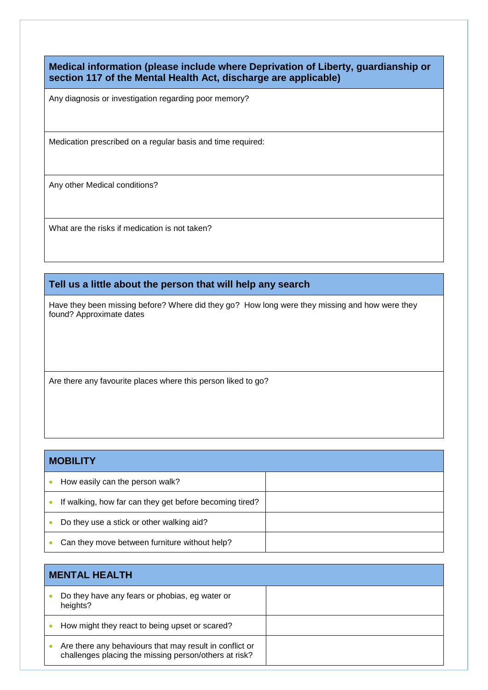**Medical information (please include where Deprivation of Liberty, guardianship or section 117 of the Mental Health Act, discharge are applicable)**

Any diagnosis or investigation regarding poor memory?

Medication prescribed on a regular basis and time required:

Any other Medical conditions?

What are the risks if medication is not taken?

### **Tell us a little about the person that will help any search**

Have they been missing before? Where did they go? How long were they missing and how were they found? Approximate dates

Are there any favourite places where this person liked to go?

| <b>MOBILITY</b>                                         |  |  |
|---------------------------------------------------------|--|--|
| How easily can the person walk?                         |  |  |
| If walking, how far can they get before becoming tired? |  |  |
| Do they use a stick or other walking aid?               |  |  |
| Can they move between furniture without help?           |  |  |

| <b>MENTAL HEALTH</b>                                                                                             |  |  |
|------------------------------------------------------------------------------------------------------------------|--|--|
| Do they have any fears or phobias, eg water or<br>heights?                                                       |  |  |
| How might they react to being upset or scared?                                                                   |  |  |
| Are there any behaviours that may result in conflict or<br>challenges placing the missing person/others at risk? |  |  |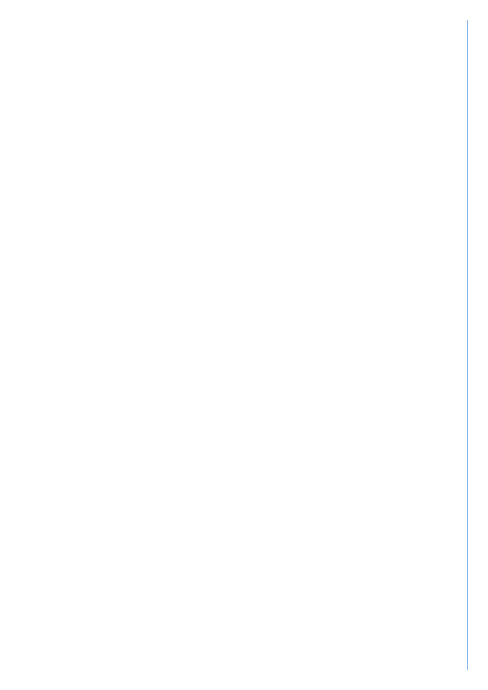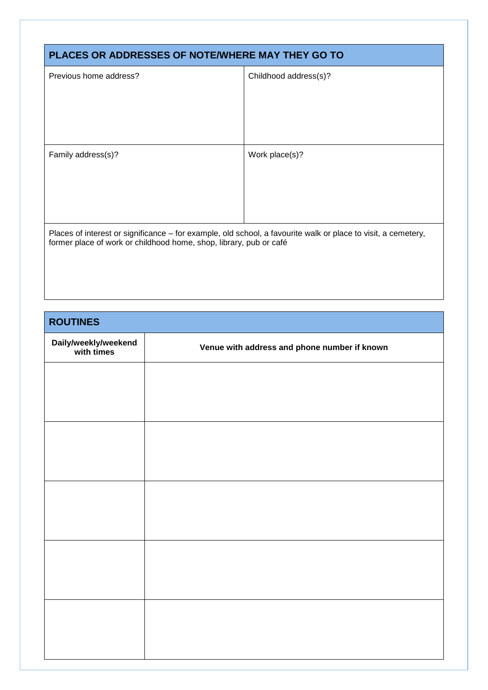| <b>PLACES OR ADDRESSES OF NOTE/WHERE MAY THEY GO TO</b>                                                                                                                             |                       |  |
|-------------------------------------------------------------------------------------------------------------------------------------------------------------------------------------|-----------------------|--|
| Previous home address?                                                                                                                                                              | Childhood address(s)? |  |
|                                                                                                                                                                                     |                       |  |
| Family address(s)?                                                                                                                                                                  | Work place(s)?        |  |
|                                                                                                                                                                                     |                       |  |
| Places of interest or significance - for example, old school, a favourite walk or place to visit, a cemetery,<br>former place of work or childhood home, shop, library, pub or café |                       |  |

| <b>ROUTINES</b>                    |                                              |  |
|------------------------------------|----------------------------------------------|--|
| Daily/weekly/weekend<br>with times | Venue with address and phone number if known |  |
|                                    |                                              |  |
|                                    |                                              |  |
|                                    |                                              |  |
|                                    |                                              |  |
|                                    |                                              |  |
|                                    |                                              |  |
|                                    |                                              |  |
|                                    |                                              |  |
|                                    |                                              |  |
|                                    |                                              |  |